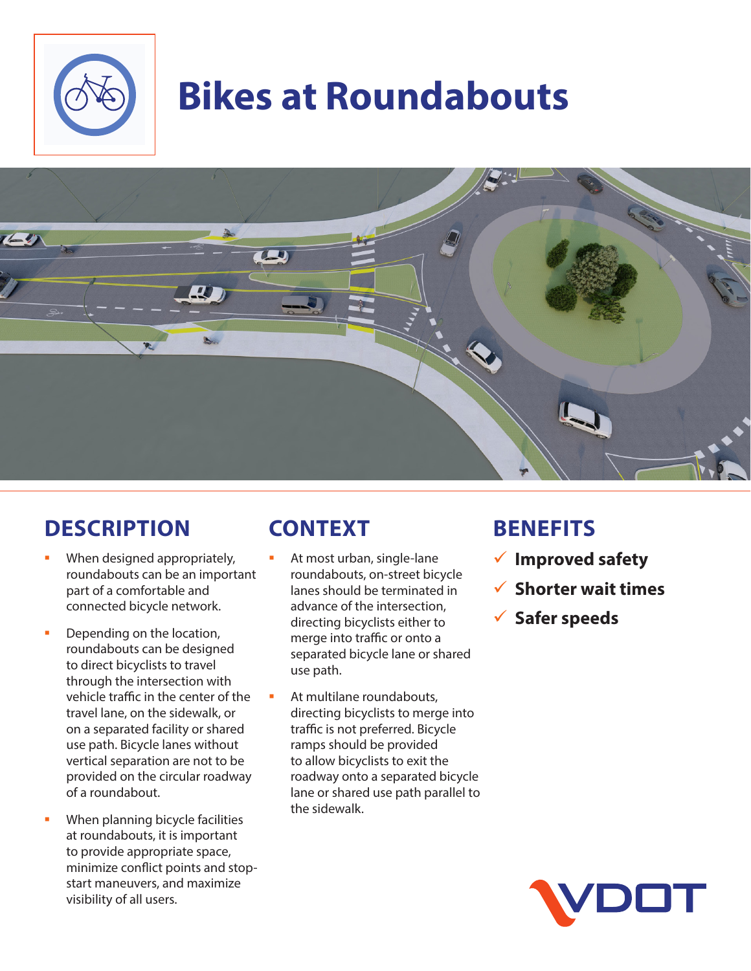

# **Bikes at Roundabouts**



### **DESCRIPTION**

- When designed appropriately, roundabouts can be an important part of a comfortable and connected bicycle network.
- Depending on the location, roundabouts can be designed to direct bicyclists to travel through the intersection with vehicle traffic in the center of the travel lane, on the sidewalk, or on a separated facility or shared use path. Bicycle lanes without vertical separation are not to be provided on the circular roadway of a roundabout.
- When planning bicycle facilities at roundabouts, it is important to provide appropriate space, minimize conflict points and stopstart maneuvers, and maximize visibility of all users.

## **CONTEXT**

- At most urban, single-lane roundabouts, on-street bicycle lanes should be terminated in advance of the intersection, directing bicyclists either to merge into traffic or onto a separated bicycle lane or shared use path.
- At multilane roundabouts, directing bicyclists to merge into traffic is not preferred. Bicycle ramps should be provided to allow bicyclists to exit the roadway onto a separated bicycle lane or shared use path parallel to the sidewalk.

### **BENEFITS**

- 9 **Improved safety**
- 9 **Shorter wait times**
- 9 **Safer speeds**